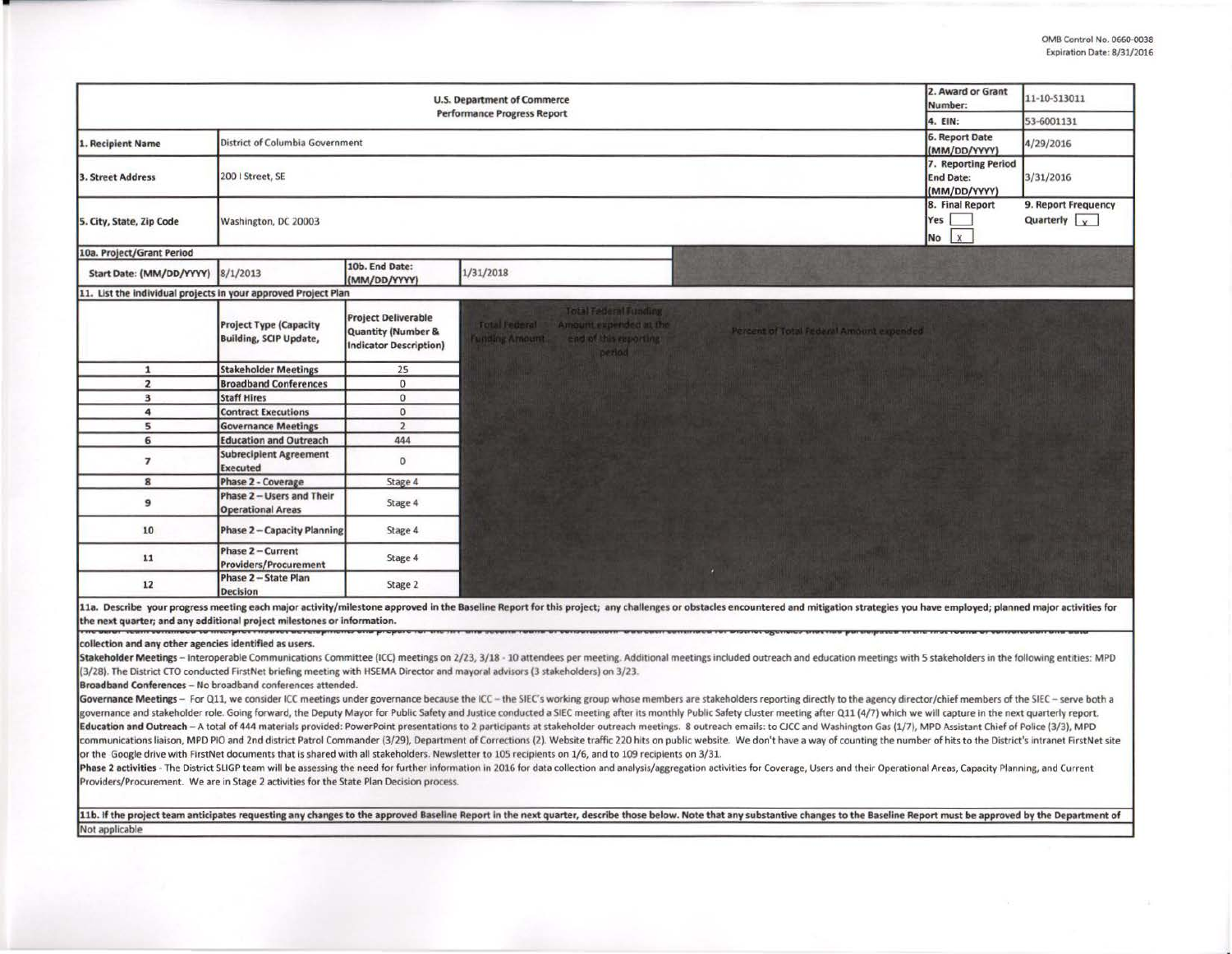| <b>U.S. Department of Commerce</b><br><b>Performance Progress Report</b> |                                                                |                                                                                   |                                                                                                                                             |                                          | 2. Award or Grant<br>Number:                            | 11-10-513011                                |
|--------------------------------------------------------------------------|----------------------------------------------------------------|-----------------------------------------------------------------------------------|---------------------------------------------------------------------------------------------------------------------------------------------|------------------------------------------|---------------------------------------------------------|---------------------------------------------|
|                                                                          |                                                                |                                                                                   |                                                                                                                                             |                                          | 4. EIN:                                                 | 53-6001131                                  |
| . Recipient Name                                                         | District of Columbia Government                                |                                                                                   |                                                                                                                                             |                                          | 6. Report Date<br>(MM/DD/YYYY)                          | 4/29/2016                                   |
| <b>3. Street Address</b>                                                 | 200   Street, SE                                               |                                                                                   |                                                                                                                                             |                                          | 7. Reporting Period<br><b>End Date:</b><br>(MM/DD/YYYY) | 3/31/2016                                   |
| 5. City, State, Zip Code                                                 | Washington, DC 20003                                           |                                                                                   |                                                                                                                                             |                                          | 8. Final Report<br>Yes<br>No X                          | 9. Report Frequency<br>Quarterly $\sqrt{x}$ |
| 10a. Project/Grant Period                                                |                                                                |                                                                                   |                                                                                                                                             |                                          |                                                         |                                             |
| Start Date: (MM/DD/YYYY) 8/1/2013                                        |                                                                | 10b. End Date:<br>(MM/DD/YYYY)                                                    | 1/31/2018                                                                                                                                   |                                          |                                                         |                                             |
| 11. List the individual projects in your approved Project Plan           |                                                                |                                                                                   |                                                                                                                                             |                                          |                                                         |                                             |
|                                                                          | <b>Project Type (Capacity</b><br><b>Building, SCIP Update,</b> | <b>Project Deliverable</b><br>Quantity (Number &<br><b>Indicator Description)</b> | <b>Total Federal Funding</b><br><b>Total Federal</b><br>Amount expended at the<br>end of this reporting<br><b>Funding Amount.</b><br>period | Percent of Total Federal Amount expended |                                                         |                                             |
| $\mathbf{1}$                                                             | <b>Stakeholder Meetings</b>                                    | 25                                                                                |                                                                                                                                             |                                          |                                                         |                                             |
| $\overline{2}$                                                           | <b>Broadband Conferences</b>                                   | $\mathbf{O}$                                                                      |                                                                                                                                             |                                          |                                                         |                                             |
| $\overline{\mathbf{3}}$                                                  | <b>Staff Hires</b>                                             | $\bf{0}$                                                                          |                                                                                                                                             |                                          |                                                         |                                             |
| $\overline{a}$                                                           | <b>Contract Executions</b>                                     | $\mathbf{0}$                                                                      |                                                                                                                                             |                                          |                                                         |                                             |
| 5                                                                        | <b>Governance Meetings</b>                                     | $\overline{2}$                                                                    |                                                                                                                                             |                                          |                                                         |                                             |
| 6                                                                        | <b>Education and Outreach</b>                                  | 444                                                                               |                                                                                                                                             |                                          |                                                         |                                             |
| $\overline{ }$                                                           | <b>Subrecipient Agreement</b><br><b>Executed</b>               | $\mathbf{0}$                                                                      |                                                                                                                                             |                                          |                                                         |                                             |
| 8                                                                        | <b>Phase 2 - Coverage</b>                                      | Stage 4                                                                           |                                                                                                                                             |                                          |                                                         |                                             |
| 9                                                                        | Phase 2 - Users and Their<br><b>Operational Areas</b>          | Stage 4                                                                           |                                                                                                                                             |                                          |                                                         |                                             |
| 10                                                                       | Phase 2 - Capacity Planning                                    | Stage 4                                                                           |                                                                                                                                             |                                          |                                                         |                                             |
| 11                                                                       | Phase 2 - Current<br><b>Providers/Procurement</b>              | Stage 4                                                                           |                                                                                                                                             |                                          |                                                         |                                             |
| 12                                                                       | Phase 2 - State Plan<br>Decision                               | Stage 2                                                                           |                                                                                                                                             |                                          |                                                         |                                             |

11a. Describe your progress meeting each major activity/milestone approved in the Baseline Report for this project; any challenges or obstacles encountered and mitigation strategies you have employed; planned major activit the next quarter; and any additional project milestones or information.

collection and any other agencies identified as users.

Stakeholder Meetings - Interoperable Communications Committee (ICC) meetings on 2/23, 3/18 - 10 attendees per meeting. Additional meetings included outreach and education meetings with 5 stakeholders in the following entit (3/28). The District CTO conducted FirstNet briefing meeting with HSEMA Director and mayoral advisors (3 stakeholders) on 3/23.

Broadband Conferences - No broadband conferences attended.

Governance Meetings - For Q11, we consider ICC meetings under governance because the ICC - the SIEC's working group whose members are stakeholders reporting directly to the agency director/chief members of the SIEC - serve governance and stakeholder role. Going forward, the Deputy Mayor for Public Safety and Justice conducted a SIEC meeting after its monthly Public Safety cluster meeting after Q11 (4/7) which we will capture in the next quar Education and Outreach - A total of 444 materials provided: PowerPoint presentations to 2 participants at stakeholder outreach meetings. 8 outreach emails: to CJCC and Washington Gas (1/7), MPD Assistant Chief of Police (3 communications liaison, MPD PIO and 2nd district Patrol Commander (3/29), Department of Corrections (2). Website traffic 220 hits on public website. We don't have a way of counting the number of hits to the District's intr or the Google drive with FirstNet documents that is shared with all stakeholders. Newsletter to 105 recipients on 1/6, and to 109 recipients on 3/31.

Phase 2 activities - The District SLIGP team will be assessing the need for further information in 2016 for data collection and analysis/aggregation activities for Coverage, Users and their Operational Areas, Capacity Plan Providers/Procurement. We are in Stage 2 activities for the State Plan Decision process.

11b. If the project team anticipates requesting any changes to the approved Baseline Report in the next quarter, describe those below. Note that any substantive changes to the Baseline Report must be approved by the Depart Not applicable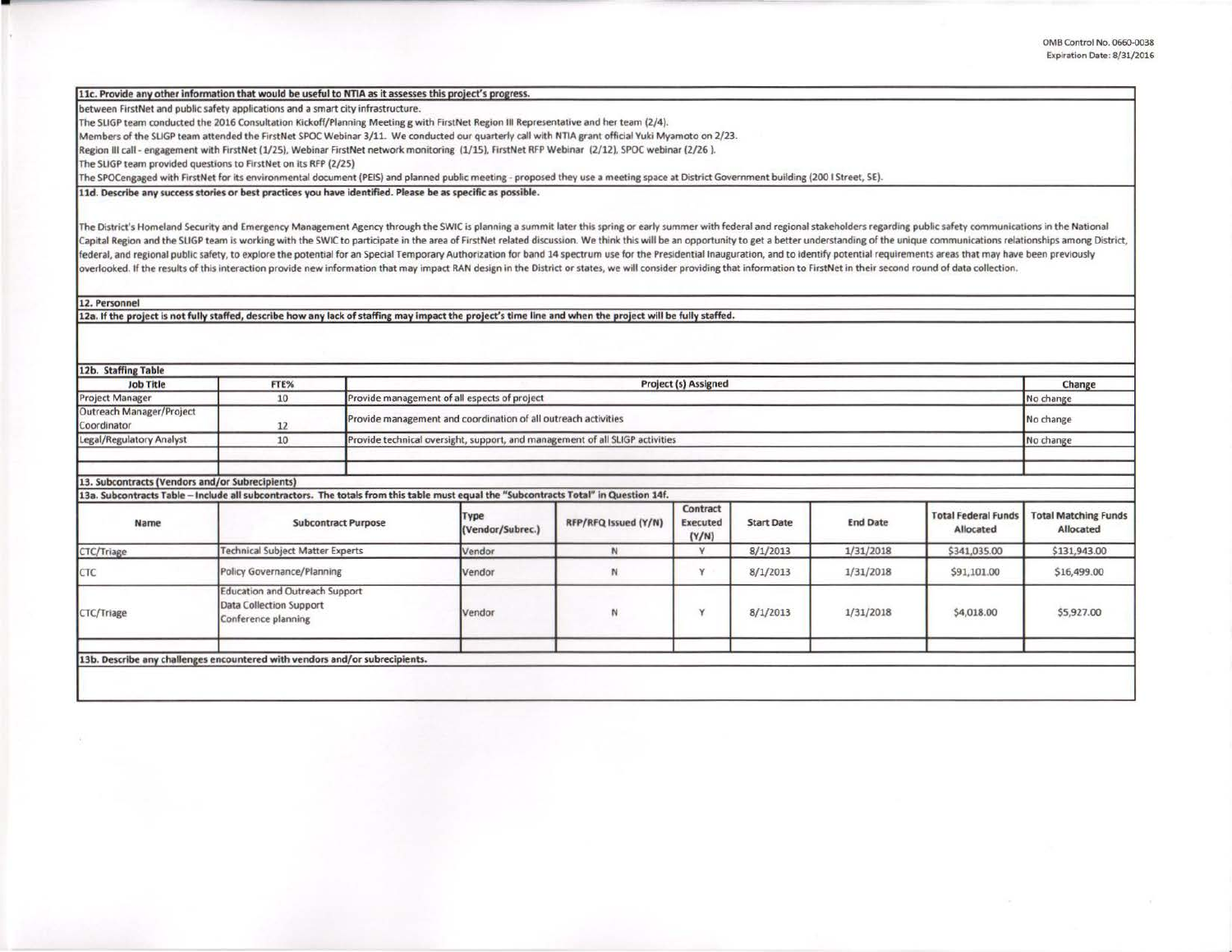## 11c. Provide any other information that would be useful to NTIA as it assesses this project's progress.

between FirstNet and public safety applications and a smart city infrastructure.

The SLIGP team conducted the 2016 Consultation Kickoff/Planning Meeting g with FirstNet Region III Representative and her team (2/4).

Members of the SUGP team attended the FirstNet SPOC Webinar 3/1L We conducted our quarterly call with NTIA grant offiaal Yuki Myamoto on 2/23.

Region III call - engagement with FirstNet (1/25), Webinar FirstNet network monitoring (1/15), FirstNet RFP Webinar (2/12), SPOC webinar (2/26).

The SUGP team provided questions to First Net on its RFP (2/25)

The SPOCengaged with FirstNet for its environmental document (PEIS) and planned public meeting - proposed they use a meeting space at District Government building (200 I Street, SE).

11d. Describe any success stories or best practices you have identified. Please be as specific as possible.

The District's Homeland Security and Emergency Management Agency through the SWIC is planning a summit later this spring or early summer with federal and regional stakeholders regarding public safety communications in the Capital Region and the SLIGP team is working with the SWIC to participate in the area of FirstNet related discussion. We think this will be an opportunity to get a better understanding of the unique communications relation federal, and regional public safety, to explore the potential for an Special Temporary Authorization for band 14 spectrum use for the Presidential Inauguration, and to identify potential requirements areas that may have be overlooked. If the results of this interaction provide new information that may impact RAN design in the District or states, we will consider providing that information to First Net in their second round of data collection.

12. Personnel

12a. If the project is not fully staffed, describe how any lack of staffing may impact the project's time line and when the project will be fully staffed.

| 12b. Staffing Table                                                                                                                   |                                                                                                |  |                                                                              |                      |                                      |                   |                 |                                         |                                          |
|---------------------------------------------------------------------------------------------------------------------------------------|------------------------------------------------------------------------------------------------|--|------------------------------------------------------------------------------|----------------------|--------------------------------------|-------------------|-----------------|-----------------------------------------|------------------------------------------|
| <b>Job Title</b>                                                                                                                      | FTE%                                                                                           |  | <b>Project (s) Assigned</b>                                                  |                      |                                      |                   |                 | Change                                  |                                          |
| <b>Project Manager</b>                                                                                                                | 10                                                                                             |  | Provide management of all espects of project                                 |                      |                                      |                   |                 | No change                               |                                          |
| Outreach Manager/Project<br>Coordinator                                                                                               | 12                                                                                             |  | Provide management and coordination of all outreach activities               |                      |                                      |                   |                 | No change                               |                                          |
| Legal/Regulatory Analyst                                                                                                              | 10                                                                                             |  | Provide technical oversight, support, and management of all SLIGP activities |                      |                                      |                   |                 |                                         | No change                                |
|                                                                                                                                       |                                                                                                |  |                                                                              |                      |                                      |                   |                 |                                         |                                          |
| 13. Subcontracts (Vendors and/or Subrecipients)                                                                                       |                                                                                                |  |                                                                              |                      |                                      |                   |                 |                                         |                                          |
| 13a. Subcontracts Table - Include all subcontractors. The totals from this table must equal the "Subcontracts Total" in Question 14f. |                                                                                                |  |                                                                              |                      |                                      |                   |                 |                                         |                                          |
| Name                                                                                                                                  | <b>Subcontract Purpose</b>                                                                     |  | Type<br>(Vendor/Subrec.)                                                     | RFP/RFQ Issued (Y/N) | Contract<br><b>Executed</b><br>(Y/N) | <b>Start Date</b> | <b>End Date</b> | <b>Total Federal Funds</b><br>Allocated | <b>Total Matching Funds</b><br>Allocated |
| CTC/Triage                                                                                                                            | <b>Technical Subject Matter Experts</b>                                                        |  | Vendor                                                                       | N                    | Y                                    | 8/1/2013          | 1/31/2018       | \$341,035.00                            | \$131,943.00                             |
| CTC                                                                                                                                   | <b>Policy Governance/Planning</b>                                                              |  | Vendor                                                                       | N                    | Y                                    | 8/1/2013          | 1/31/2018       | \$91,101.00                             | \$16,499.00                              |
| CTC/Triage                                                                                                                            | <b>Education and Outreach Support</b><br><b>Data Collection Support</b><br>Conference planning |  | Vendor                                                                       | N                    | v                                    | 8/1/2013          | 1/31/2018       | \$4,018.00                              | \$5,927.00                               |
|                                                                                                                                       |                                                                                                |  |                                                                              |                      |                                      |                   |                 |                                         |                                          |
| 13b. Describe any challenges encountered with vendors and/or subrecipients.                                                           |                                                                                                |  |                                                                              |                      |                                      |                   |                 |                                         |                                          |
|                                                                                                                                       |                                                                                                |  |                                                                              |                      |                                      |                   |                 |                                         |                                          |